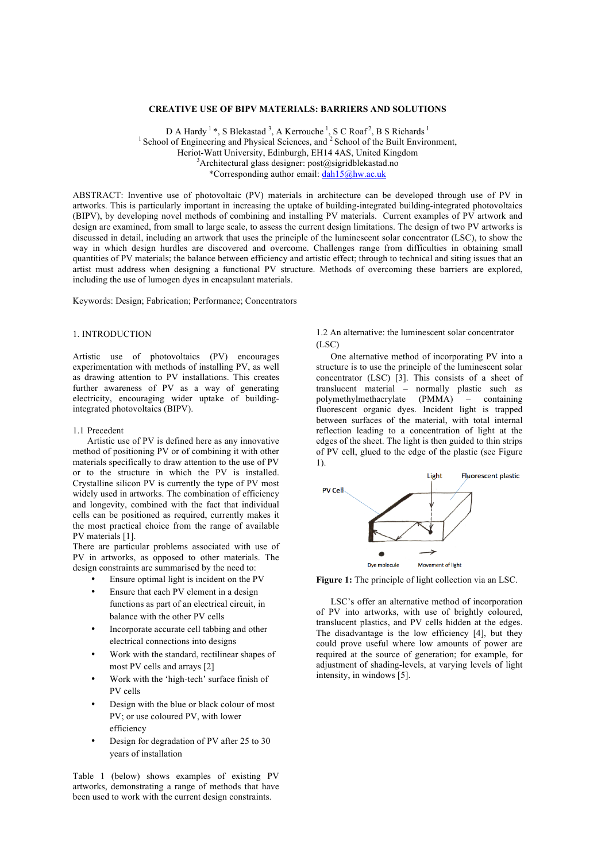# **CREATIVE USE OF BIPV MATERIALS: BARRIERS AND SOLUTIONS**

D A Hardy  $^1$ \*, S Blekastad  $^3$ , A Kerrouche  $^1$ , S C Roaf  $^2$ , B S Richards  $^1$  $\frac{1}{2}$  School of Engineering and Physical Sciences, and  $\frac{2}{2}$  School of the Built Environment. Heriot-Watt University, Edinburgh, EH14 4AS, United Kingdom <sup>3</sup>  ${}^{3}$ Architectural glass designer: post@sigridblekastad.no \*Corresponding author email: dah15@hw.ac.uk

ABSTRACT: Inventive use of photovoltaic (PV) materials in architecture can be developed through use of PV in artworks. This is particularly important in increasing the uptake of building-integrated building-integrated photovoltaics (BIPV), by developing novel methods of combining and installing PV materials. Current examples of PV artwork and design are examined, from small to large scale, to assess the current design limitations. The design of two PV artworks is discussed in detail, including an artwork that uses the principle of the luminescent solar concentrator (LSC), to show the way in which design hurdles are discovered and overcome. Challenges range from difficulties in obtaining small quantities of PV materials; the balance between efficiency and artistic effect; through to technical and siting issues that an artist must address when designing a functional PV structure. Methods of overcoming these barriers are explored, including the use of lumogen dyes in encapsulant materials.

Keywords: Design; Fabrication; Performance; Concentrators

# 1. INTRODUCTION

Artistic use of photovoltaics (PV) encourages experimentation with methods of installing PV, as well as drawing attention to PV installations. This creates further awareness of PV as a way of generating electricity, encouraging wider uptake of buildingintegrated photovoltaics (BIPV).

# 1.1 Precedent

Artistic use of PV is defined here as any innovative method of positioning PV or of combining it with other materials specifically to draw attention to the use of PV or to the structure in which the PV is installed. Crystalline silicon PV is currently the type of PV most widely used in artworks. The combination of efficiency and longevity, combined with the fact that individual cells can be positioned as required, currently makes it the most practical choice from the range of available PV materials [1].

There are particular problems associated with use of PV in artworks, as opposed to other materials. The design constraints are summarised by the need to:

- Ensure optimal light is incident on the PV
- Ensure that each PV element in a design functions as part of an electrical circuit, in balance with the other PV cells
- Incorporate accurate cell tabbing and other electrical connections into designs
- Work with the standard, rectilinear shapes of most PV cells and arrays [2]
- Work with the 'high-tech' surface finish of PV cells
- Design with the blue or black colour of most PV; or use coloured PV, with lower efficiency
- Design for degradation of PV after 25 to 30 years of installation

Table 1 (below) shows examples of existing PV artworks, demonstrating a range of methods that have been used to work with the current design constraints.

1.2 An alternative: the luminescent solar concentrator (LSC)

One alternative method of incorporating PV into a structure is to use the principle of the luminescent solar concentrator (LSC) [3]. This consists of a sheet of translucent material – normally plastic such as polymethylmethacrylate (PMMA) – containing fluorescent organic dyes. Incident light is trapped between surfaces of the material, with total internal reflection leading to a concentration of light at the edges of the sheet. The light is then guided to thin strips of PV cell, glued to the edge of the plastic (see Figure 1).



**Figure 1:** The principle of light collection via an LSC.

LSC's offer an alternative method of incorporation of PV into artworks, with use of brightly coloured, translucent plastics, and PV cells hidden at the edges. The disadvantage is the low efficiency [4], but they could prove useful where low amounts of power are required at the source of generation; for example, for adjustment of shading-levels, at varying levels of light intensity, in windows [5].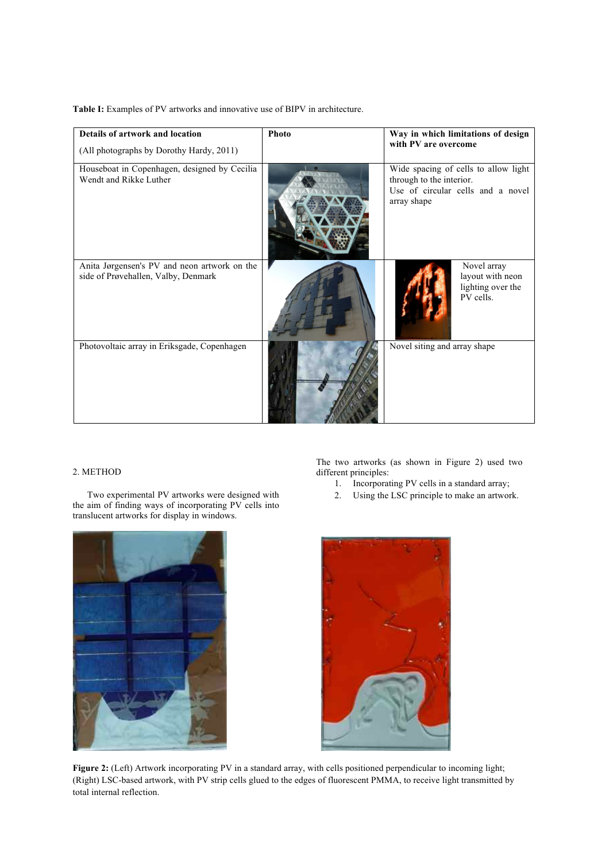**Table I:** Examples of PV artworks and innovative use of BIPV in architecture.

| Details of artwork and location<br>(All photographs by Dorothy Hardy, 2011)         | Photo | Way in which limitations of design<br>with PV are overcome                                                           |
|-------------------------------------------------------------------------------------|-------|----------------------------------------------------------------------------------------------------------------------|
| Houseboat in Copenhagen, designed by Cecilia<br>Wendt and Rikke Luther              |       | Wide spacing of cells to allow light<br>through to the interior.<br>Use of circular cells and a novel<br>array shape |
| Anita Jørgensen's PV and neon artwork on the<br>side of Prøvehallen, Valby, Denmark |       | Novel array<br>layout with neon<br>lighting over the<br>PV cells.                                                    |
| Photovoltaic array in Eriksgade, Copenhagen                                         |       | Novel siting and array shape                                                                                         |

# 2. METHOD

Two experimental PV artworks were designed with the aim of finding ways of incorporating PV cells into translucent artworks for display in windows.

The two artworks (as shown in Figure 2) used two different principles:

- 1. Incorporating PV cells in a standard array;
- 2. Using the LSC principle to make an artwork.





**Figure 2:** (Left) Artwork incorporating PV in a standard array, with cells positioned perpendicular to incoming light; (Right) LSC-based artwork, with PV strip cells glued to the edges of fluorescent PMMA, to receive light transmitted by total internal reflection.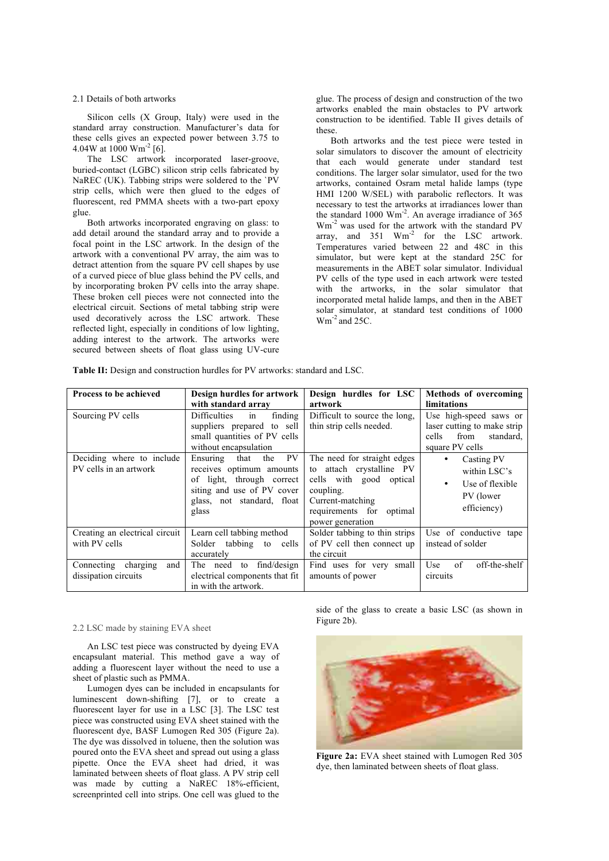# 2.1 Details of both artworks

Silicon cells (X Group, Italy) were used in the standard array construction. Manufacturer's data for these cells gives an expected power between 3.75 to 4.04W at 1000  $\text{Wm}^2$  [6].

The LSC artwork incorporated laser-groove, buried-contact (LGBC) silicon strip cells fabricated by NaREC (UK). Tabbing strips were soldered to the `PV strip cells, which were then glued to the edges of fluorescent, red PMMA sheets with a two-part epoxy glue.

Both artworks incorporated engraving on glass: to add detail around the standard array and to provide a focal point in the LSC artwork. In the design of the artwork with a conventional PV array, the aim was to detract attention from the square PV cell shapes by use of a curved piece of blue glass behind the PV cells, and by incorporating broken PV cells into the array shape. These broken cell pieces were not connected into the electrical circuit. Sections of metal tabbing strip were used decoratively across the LSC artwork. These reflected light, especially in conditions of low lighting, adding interest to the artwork. The artworks were secured between sheets of float glass using UV-cure

glue. The process of design and construction of the two artworks enabled the main obstacles to PV artwork construction to be identified. Table II gives details of these.

Both artworks and the test piece were tested in solar simulators to discover the amount of electricity that each would generate under standard test conditions. The larger solar simulator, used for the two artworks, contained Osram metal halide lamps (type HMI 1200 W/SEL) with parabolic reflectors. It was necessary to test the artworks at irradiances lower than the standard 1000 Wm<sup>-2</sup>. An average irradiance of 365 Wm-2 was used for the artwork with the standard PV array, and 351  $Wm^{-2}$  for the LSC artwork. Temperatures varied between 22 and 48C in this simulator, but were kept at the standard 25C for measurements in the ABET solar simulator. Individual PV cells of the type used in each artwork were tested with the artworks, in the solar simulator that incorporated metal halide lamps, and then in the ABET solar simulator, at standard test conditions of 1000  $Wm^{-2}$  and 25C.

**Table II:** Design and construction hurdles for PV artworks: standard and LSC.

| <b>Process to be achieved</b>                       | Design hurdles for artwork                                                                                                                                      | Design hurdles for LSC                                                                                                                                                    | Methods of overcoming                                                                                  |
|-----------------------------------------------------|-----------------------------------------------------------------------------------------------------------------------------------------------------------------|---------------------------------------------------------------------------------------------------------------------------------------------------------------------------|--------------------------------------------------------------------------------------------------------|
|                                                     | with standard array                                                                                                                                             | artwork                                                                                                                                                                   | limitations                                                                                            |
| Sourcing PV cells                                   | Difficulties<br>finding<br>in<br>suppliers prepared to sell<br>small quantities of PV cells<br>without encapsulation                                            | Difficult to source the long,<br>thin strip cells needed.                                                                                                                 | Use high-speed saws or<br>laser cutting to make strip<br>from<br>standard.<br>cells<br>square PV cells |
| Deciding where to include<br>PV cells in an artwork | PV.<br>the<br>Ensuring<br>that<br>receives optimum amounts<br>through correct<br>of light,<br>siting and use of PV cover<br>glass, not standard, float<br>glass | The need for straight edges<br>to attach crystalline PV<br>cells with good<br>optical<br>coupling.<br>Current-matching<br>requirements for<br>optimal<br>power generation | Casting PV<br>$\bullet$<br>within LSC's<br>Use of flexible<br>$\bullet$<br>PV (lower<br>efficiency)    |
| Creating an electrical circuit<br>with PV cells     | Learn cell tabbing method<br>tabbing<br>Solder<br>to<br>cells<br>accurately                                                                                     | Solder tabbing to thin strips<br>of PV cell then connect up<br>the circuit                                                                                                | Use of conductive tape<br>instead of solder                                                            |
| Connecting charging<br>and<br>dissipation circuits  | find/design<br>The need<br>to<br>electrical components that fit<br>in with the artwork.                                                                         | Find uses for very small<br>amounts of power                                                                                                                              | of<br>off-the-shelf<br>Use<br>circuits                                                                 |

#### 2.2 LSC made by staining EVA sheet

An LSC test piece was constructed by dyeing EVA encapsulant material. This method gave a way of adding a fluorescent layer without the need to use a sheet of plastic such as PMMA.

Lumogen dyes can be included in encapsulants for luminescent down-shifting [7], or to create a fluorescent layer for use in a LSC [3]. The LSC test piece was constructed using EVA sheet stained with the fluorescent dye, BASF Lumogen Red 305 (Figure 2a). The dye was dissolved in toluene, then the solution was poured onto the EVA sheet and spread out using a glass pipette. Once the EVA sheet had dried, it was laminated between sheets of float glass. A PV strip cell was made by cutting a NaREC 18%-efficient, screenprinted cell into strips. One cell was glued to the

side of the glass to create a basic LSC (as shown in Figure 2b).



**Figure 2a:** EVA sheet stained with Lumogen Red 305 dye, then laminated between sheets of float glass.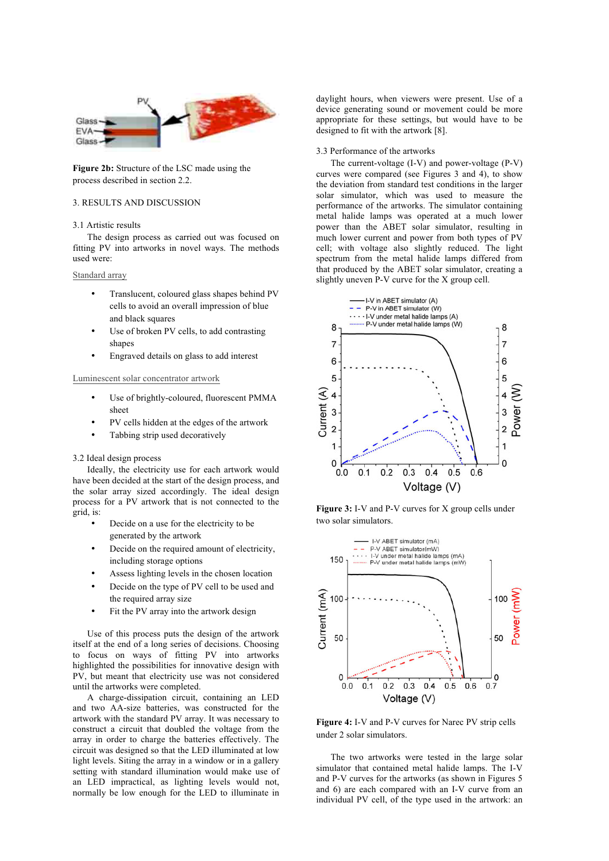

**Figure 2b:** Structure of the LSC made using the process described in section 2.2.

# 3. RESULTS AND DISCUSSION

#### 3.1 Artistic results

The design process as carried out was focused on fitting PV into artworks in novel ways. The methods used were:

### Standard array

- Translucent, coloured glass shapes behind PV cells to avoid an overall impression of blue and black squares
- Use of broken PV cells, to add contrasting shapes
- Engraved details on glass to add interest

# Luminescent solar concentrator artwork

- Use of brightly-coloured, fluorescent PMMA sheet
- PV cells hidden at the edges of the artwork
- Tabbing strip used decoratively

#### 3.2 Ideal design process

Ideally, the electricity use for each artwork would have been decided at the start of the design process, and the solar array sized accordingly. The ideal design process for a PV artwork that is not connected to the grid, is:

- Decide on a use for the electricity to be generated by the artwork
- Decide on the required amount of electricity, including storage options
- Assess lighting levels in the chosen location
- Decide on the type of PV cell to be used and the required array size
- Fit the PV array into the artwork design

Use of this process puts the design of the artwork itself at the end of a long series of decisions. Choosing to focus on ways of fitting PV into artworks highlighted the possibilities for innovative design with PV, but meant that electricity use was not considered until the artworks were completed.

A charge-dissipation circuit, containing an LED and two AA-size batteries, was constructed for the artwork with the standard PV array. It was necessary to construct a circuit that doubled the voltage from the array in order to charge the batteries effectively. The circuit was designed so that the LED illuminated at low light levels. Siting the array in a window or in a gallery setting with standard illumination would make use of an LED impractical, as lighting levels would not, normally be low enough for the LED to illuminate in

daylight hours, when viewers were present. Use of a device generating sound or movement could be more appropriate for these settings, but would have to be designed to fit with the artwork [8].

#### 3.3 Performance of the artworks

The current-voltage (I-V) and power-voltage (P-V) curves were compared (see Figures 3 and 4), to show the deviation from standard test conditions in the larger solar simulator, which was used to measure the performance of the artworks. The simulator containing metal halide lamps was operated at a much lower power than the ABET solar simulator, resulting in much lower current and power from both types of PV cell; with voltage also slightly reduced. The light spectrum from the metal halide lamps differed from that produced by the ABET solar simulator, creating a slightly uneven P-V curve for the X group cell.



**Figure 3:** I-V and P-V curves for X group cells under two solar simulators.



**Figure 4:** I-V and P-V curves for Narec PV strip cells under 2 solar simulators.

The two artworks were tested in the large solar simulator that contained metal halide lamps. The I-V and P-V curves for the artworks (as shown in Figures 5 and 6) are each compared with an I-V curve from an individual PV cell, of the type used in the artwork: an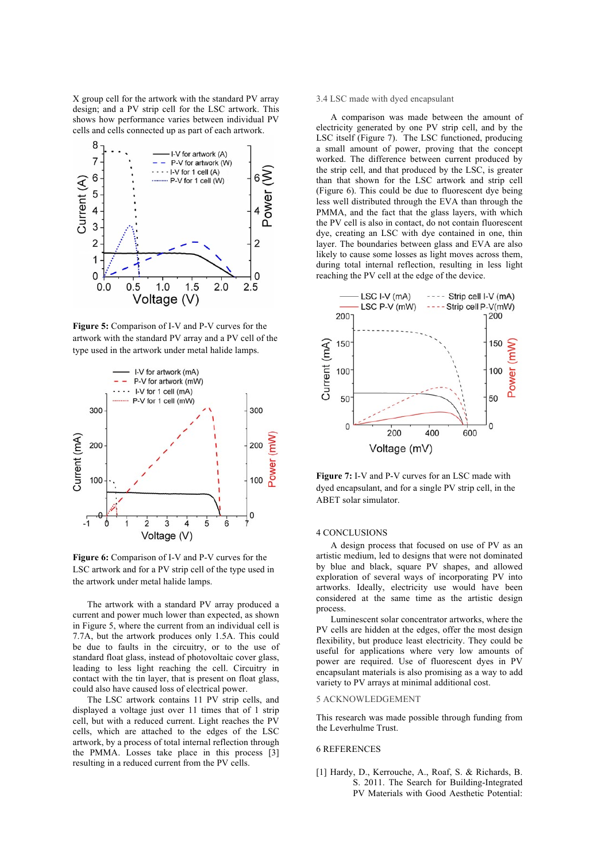X group cell for the artwork with the standard PV array design; and a PV strip cell for the LSC artwork. This shows how performance varies between individual PV cells and cells connected up as part of each artwork.



**Figure 5:** Comparison of I-V and P-V curves for the artwork with the standard PV array and a PV cell of the type used in the artwork under metal halide lamps.



Figure 6: Comparison of I-V and P-V curves for the LSC artwork and for a PV strip cell of the type used in the artwork under metal halide lamps.

The artwork with a standard PV array produced a current and power much lower than expected, as shown in Figure 5, where the current from an individual cell is 7.7A, but the artwork produces only 1.5A. This could be due to faults in the circuitry, or to the use of standard float glass, instead of photovoltaic cover glass, leading to less light reaching the cell. Circuitry in contact with the tin layer, that is present on float glass, could also have caused loss of electrical power.

The LSC artwork contains 11 PV strip cells, and displayed a voltage just over 11 times that of 1 strip cell, but with a reduced current. Light reaches the PV cells, which are attached to the edges of the LSC artwork, by a process of total internal reflection through the PMMA. Losses take place in this process [3] resulting in a reduced current from the PV cells.

# 3.4 LSC made with dyed encapsulant

A comparison was made between the amount of electricity generated by one PV strip cell, and by the LSC itself (Figure 7). The LSC functioned, producing a small amount of power, proving that the concept worked. The difference between current produced by the strip cell, and that produced by the LSC, is greater than that shown for the LSC artwork and strip cell (Figure 6). This could be due to fluorescent dye being less well distributed through the EVA than through the PMMA, and the fact that the glass layers, with which the PV cell is also in contact, do not contain fluorescent dye, creating an LSC with dye contained in one, thin layer. The boundaries between glass and EVA are also likely to cause some losses as light moves across them, during total internal reflection, resulting in less light reaching the PV cell at the edge of the device.



**Figure 7:** I-V and P-V curves for an LSC made with dyed encapsulant, and for a single PV strip cell, in the ABET solar simulator.

### 4 CONCLUSIONS

A design process that focused on use of PV as an artistic medium, led to designs that were not dominated by blue and black, square PV shapes, and allowed exploration of several ways of incorporating PV into artworks. Ideally, electricity use would have been considered at the same time as the artistic design process.

Luminescent solar concentrator artworks, where the PV cells are hidden at the edges, offer the most design flexibility, but produce least electricity. They could be useful for applications where very low amounts of power are required. Use of fluorescent dyes in PV encapsulant materials is also promising as a way to add variety to PV arrays at minimal additional cost.

### 5 ACKNOWLEDGEMENT

This research was made possible through funding from the Leverhulme Trust.

### 6 REFERENCES

[1] Hardy, D., Kerrouche, A., Roaf, S. & Richards, B. S. 2011. The Search for Building-Integrated PV Materials with Good Aesthetic Potential: